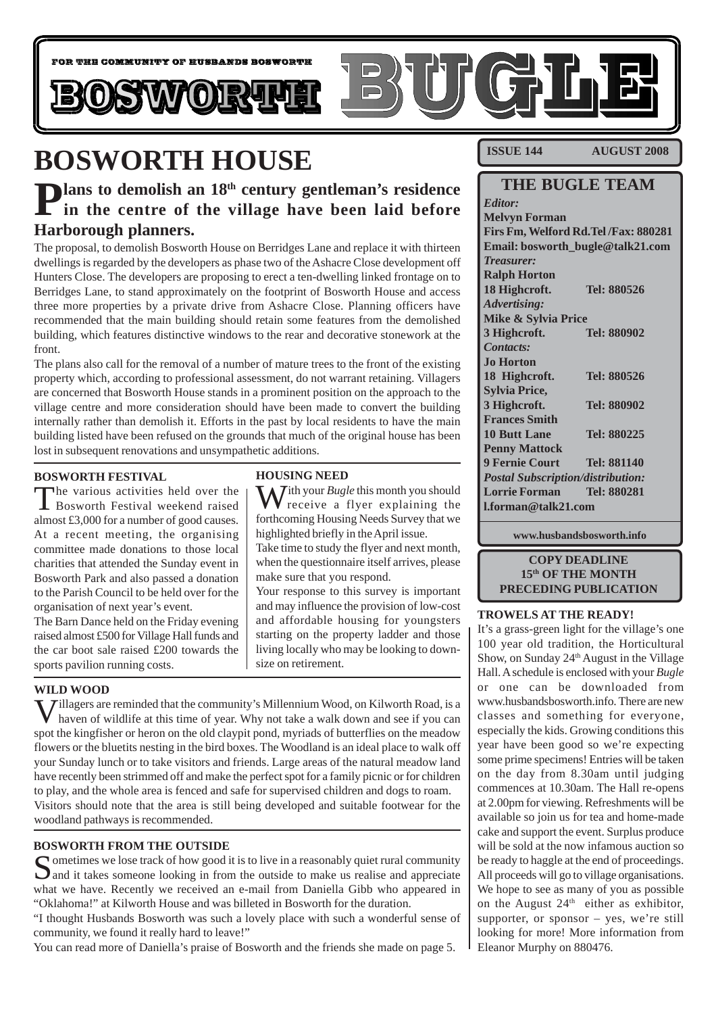

# **BOSWORTH HOUSE**

# **Plans to demolish an 18<sup>th</sup> century gentleman's residence** in the centre of the village have been laid before **Harborough planners.**

The proposal, to demolish Bosworth House on Berridges Lane and replace it with thirteen dwellings is regarded by the developers as phase two of the Ashacre Close development off Hunters Close. The developers are proposing to erect a ten-dwelling linked frontage on to Berridges Lane, to stand approximately on the footprint of Bosworth House and access three more properties by a private drive from Ashacre Close. Planning officers have recommended that the main building should retain some features from the demolished building, which features distinctive windows to the rear and decorative stonework at the front.

The plans also call for the removal of a number of mature trees to the front of the existing property which, according to professional assessment, do not warrant retaining. Villagers are concerned that Bosworth House stands in a prominent position on the approach to the village centre and more consideration should have been made to convert the building internally rather than demolish it. Efforts in the past by local residents to have the main building listed have been refused on the grounds that much of the original house has been lost in subsequent renovations and unsympathetic additions.

#### **BOSWORTH FESTIVAL**

The various activities held over the Bosworth Festival weekend raised almost £3,000 for a number of good causes. At a recent meeting, the organising committee made donations to those local charities that attended the Sunday event in Bosworth Park and also passed a donation to the Parish Council to be held over for the organisation of next year's event.

The Barn Dance held on the Friday evening raised almost £500 for Village Hall funds and the car boot sale raised £200 towards the sports pavilion running costs.

### **HOUSING NEED**

With your *Bugle* this month you should receive a flyer explaining the forthcoming Housing Needs Survey that we highlighted briefly in the April issue.

Take time to study the flyer and next month, when the questionnaire itself arrives, please make sure that you respond.

Your response to this survey is important and may influence the provision of low-cost and affordable housing for youngsters starting on the property ladder and those living locally who may be looking to downsize on retirement.

#### **WILD WOOD**

Villagers are reminded that the community's Millennium Wood, on Kilworth Road, is a haven of wildlife at this time of year. Why not take a walk down and see if you can spot the kingfisher or heron on the old claypit pond, myriads of butterflies on the meadow flowers or the bluetits nesting in the bird boxes. The Woodland is an ideal place to walk off your Sunday lunch or to take visitors and friends. Large areas of the natural meadow land have recently been strimmed off and make the perfect spot for a family picnic or for children to play, and the whole area is fenced and safe for supervised children and dogs to roam. Visitors should note that the area is still being developed and suitable footwear for the woodland pathways is recommended.

#### **BOSWORTH FROM THE OUTSIDE**

Sometimes we lose track of how good it is to live in a reasonably quiet rural community  $\sum$  and it takes someone looking in from the outside to make us realise and appreciate what we have. Recently we received an e-mail from Daniella Gibb who appeared in "Oklahoma!" at Kilworth House and was billeted in Bosworth for the duration.

"I thought Husbands Bosworth was such a lovely place with such a wonderful sense of community, we found it really hard to leave!"

You can read more of Daniella's praise of Bosworth and the friends she made on page 5.

**ISSUE 144 AUGUST 2008**

### **THE BUGLE TEAM**

*Editor:* **Melvyn Forman Firs Fm, Welford Rd.Tel /Fax: 880281 Email: bosworth\_bugle@talk21.com** *Treasurer:* **Ralph Horton 18 Highcroft. Tel: 880526** *Advertising:* **Mike & Sylvia Price 3 Highcroft. Tel: 880902** *Contacts:* **Jo Horton 18 Highcroft. Tel: 880526 Sylvia Price, 3 Highcroft. Tel: 880902 Frances Smith 10 Butt Lane Tel: 880225 Penny Mattock 9 Fernie Court Tel: 881140** *Postal Subscription/distribution:* **Lorrie Forman Tel: 880281 l.forman@talk21.com**

**www.husbandsbosworth.info**

#### **COPY DEADLINE 15th OF THE MONTH PRECEDING PUBLICATION**

#### **TROWELS AT THE READY!**

It's a grass-green light for the village's one 100 year old tradition, the Horticultural Show, on Sunday  $24<sup>th</sup>$  August in the Village Hall. A schedule is enclosed with your *Bugle* or one can be downloaded from www.husbandsbosworth.info. There are new classes and something for everyone, especially the kids. Growing conditions this year have been good so we're expecting some prime specimens! Entries will be taken on the day from 8.30am until judging commences at 10.30am. The Hall re-opens at 2.00pm for viewing. Refreshments will be available so join us for tea and home-made cake and support the event. Surplus produce will be sold at the now infamous auction so be ready to haggle at the end of proceedings. All proceeds will go to village organisations. We hope to see as many of you as possible on the August  $24<sup>th</sup>$  either as exhibitor, supporter, or sponsor – yes, we're still looking for more! More information from Eleanor Murphy on 880476.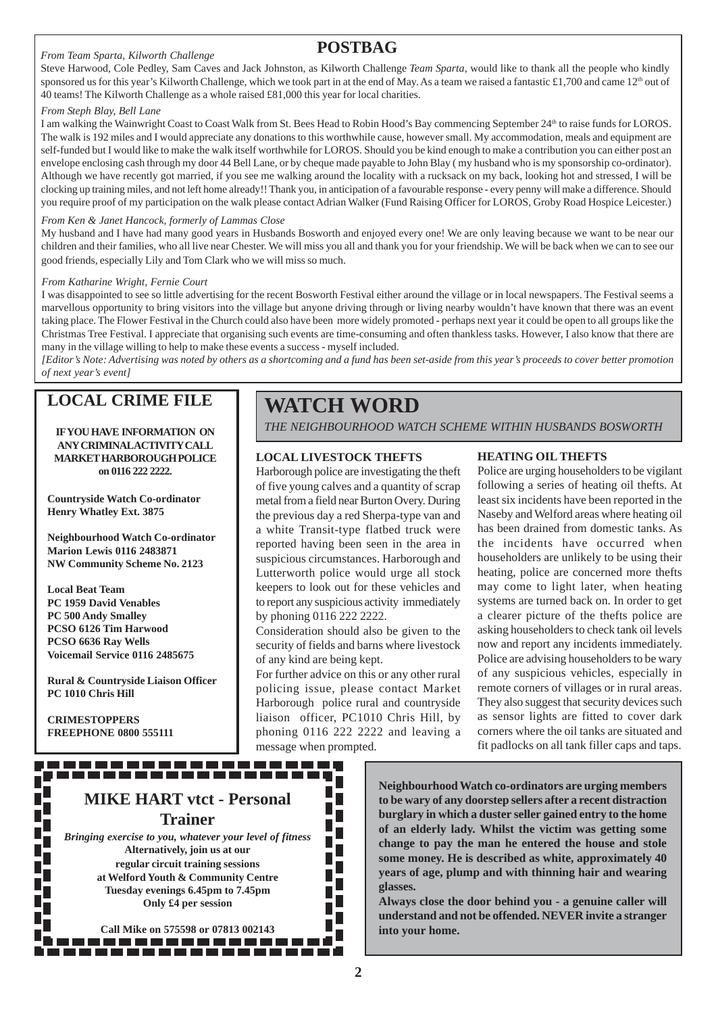#### *From Team Sparta, Kilworth Challenge*

### **POSTBAG**

Steve Harwood, Cole Pedley, Sam Caves and Jack Johnston, as Kilworth Challenge *Team Sparta*, would like to thank all the people who kindly sponsored us for this year's Kilworth Challenge, which we took part in at the end of May. As a team we raised a fantastic £1,700 and came  $12<sup>th</sup>$  out of 40 teams! The Kilworth Challenge as a whole raised £81,000 this year for local charities.

#### *From Steph Blay, Bell Lane*

I am walking the Wainwright Coast to Coast Walk from St. Bees Head to Robin Hood's Bay commencing September 24<sup>th</sup> to raise funds for LOROS. The walk is 192 miles and I would appreciate any donations to this worthwhile cause, however small. My accommodation, meals and equipment are self-funded but I would like to make the walk itself worthwhile for LOROS. Should you be kind enough to make a contribution you can either post an envelope enclosing cash through my door 44 Bell Lane, or by cheque made payable to John Blay ( my husband who is my sponsorship co-ordinator). Although we have recently got married, if you see me walking around the locality with a rucksack on my back, looking hot and stressed, I will be clocking up training miles, and not left home already!! Thank you, in anticipation of a favourable response - every penny will make a difference. Should you require proof of my participation on the walk please contact Adrian Walker (Fund Raising Officer for LOROS, Groby Road Hospice Leicester.)

#### *From Ken & Janet Hancock, formerly of Lammas Close*

My husband and I have had many good years in Husbands Bosworth and enjoyed every one! We are only leaving because we want to be near our children and their families, who all live near Chester. We will miss you all and thank you for your friendship. We will be back when we can to see our good friends, especially Lily and Tom Clark who we will miss so much.

#### *From Katharine Wright, Fernie Court*

I was disappointed to see so little advertising for the recent Bosworth Festival either around the village or in local newspapers. The Festival seems a marvellous opportunity to bring visitors into the village but anyone driving through or living nearby wouldn't have known that there was an event taking place. The Flower Festival in the Church could also have been more widely promoted - perhaps next year it could be open to all groups like the Christmas Tree Festival. I appreciate that organising such events are time-consuming and often thankless tasks. However, I also know that there are many in the village willing to help to make these events a success - myself included.

*[Editor's Note: Advertising was noted by others as a shortcoming and a fund has been set-aside from this year's proceeds to cover better promotion of next year's event]*

### **LOCAL CRIME FILE**

#### **IF YOU HAVE INFORMATION ON ANY CRIMINALACTIVITY CALL MARKET HARBOROUGH POLICE on 0116 222 2222.**

**Countryside Watch Co-ordinator Henry Whatley Ext. 3875**

**Neighbourhood Watch Co-ordinator Marion Lewis 0116 2483871 NW Community Scheme No. 2123**

**Local Beat Team PC 1959 David Venables PC 500 Andy Smalley PCSO 6126 Tim Harwood PCSO 6636 Ray Wells Voicemail Service 0116 2485675**

**Rural & Countryside Liaison Officer PC 1010 Chris Hill**

**CRIMESTOPPERS FREEPHONE 0800 555111**

# **WATCH WORD**

*THE NEIGHBOURHOOD WATCH SCHEME WITHIN HUSBANDS BOSWORTH*

#### **LOCAL LIVESTOCK THEFTS**

Harborough police are investigating the theft of five young calves and a quantity of scrap metal from a field near Burton Overy. During the previous day a red Sherpa-type van and a white Transit-type flatbed truck were reported having been seen in the area in suspicious circumstances. Harborough and Lutterworth police would urge all stock keepers to look out for these vehicles and to report any suspicious activity immediately by phoning 0116 222 2222.

Consideration should also be given to the security of fields and barns where livestock of any kind are being kept.

For further advice on this or any other rural policing issue, please contact Market Harborough police rural and countryside liaison officer, PC1010 Chris Hill, by phoning 0116 222 2222 and leaving a message when prompted.

#### **HEATING OIL THEFTS**

Police are urging householders to be vigilant following a series of heating oil thefts. At least six incidents have been reported in the Naseby and Welford areas where heating oil has been drained from domestic tanks. As the incidents have occurred when householders are unlikely to be using their heating, police are concerned more thefts may come to light later, when heating systems are turned back on. In order to get a clearer picture of the thefts police are asking householders to check tank oil levels now and report any incidents immediately. Police are advising householders to be wary of any suspicious vehicles, especially in remote corners of villages or in rural areas. They also suggest that security devices such as sensor lights are fitted to cover dark corners where the oil tanks are situated and fit padlocks on all tank filler caps and taps.

### **MIKE HART vtct - Personal Trainer** *Bringing exercise to you, whatever your level of fitness*

------------------

**Alternatively, join us at our regular circuit training sessions at Welford Youth & Community Centre Tuesday evenings 6.45pm to 7.45pm Only £4 per session**

**Call Mike on 575598 or 07813 002143**  **Neighbourhood Watch co-ordinators are urging members to be wary of any doorstep sellers after a recent distraction burglary in which a duster seller gained entry to the home of an elderly lady. Whilst the victim was getting some change to pay the man he entered the house and stole some money. He is described as white, approximately 40 years of age, plump and with thinning hair and wearing glasses.**

**Always close the door behind you - a genuine caller will understand and not be offended. NEVER invite a stranger into your home.**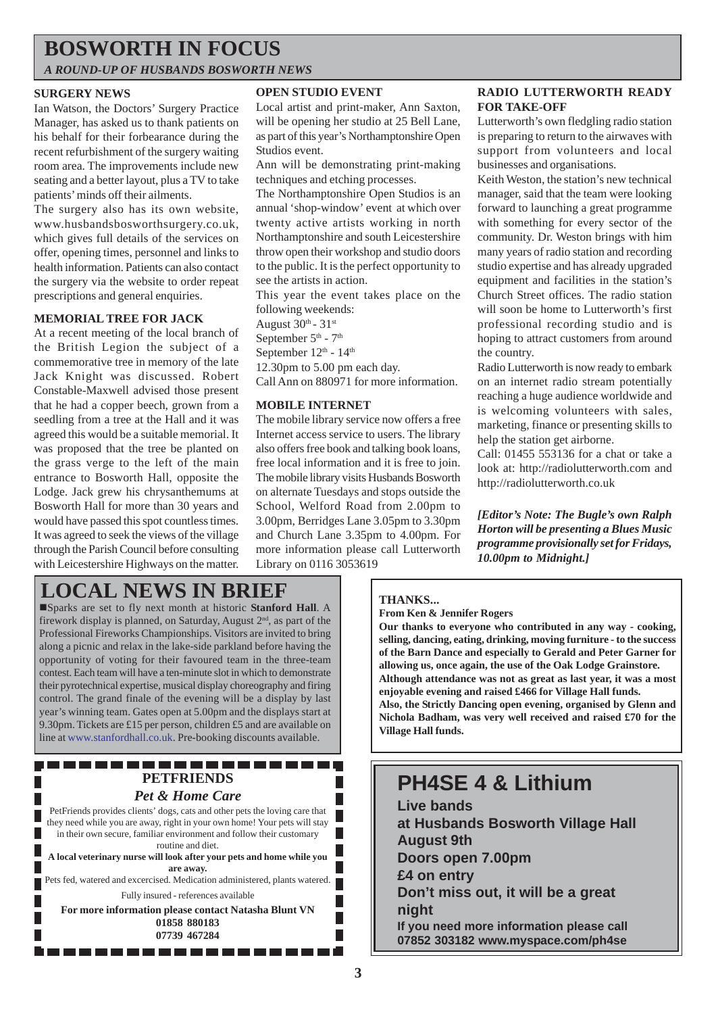# **BOSWORTH IN FOCUS**

*A ROUND-UP OF HUSBANDS BOSWORTH NEWS*

#### **SURGERY NEWS**

Ian Watson, the Doctors' Surgery Practice Manager, has asked us to thank patients on his behalf for their forbearance during the recent refurbishment of the surgery waiting room area. The improvements include new seating and a better layout, plus a TV to take patients' minds off their ailments.

The surgery also has its own website, www.husbandsbosworthsurgery.co.uk, which gives full details of the services on offer, opening times, personnel and links to health information. Patients can also contact the surgery via the website to order repeat prescriptions and general enquiries.

#### **MEMORIAL TREE FOR JACK**

At a recent meeting of the local branch of the British Legion the subject of a commemorative tree in memory of the late Jack Knight was discussed. Robert Constable-Maxwell advised those present that he had a copper beech, grown from a seedling from a tree at the Hall and it was agreed this would be a suitable memorial. It was proposed that the tree be planted on the grass verge to the left of the main entrance to Bosworth Hall, opposite the Lodge. Jack grew his chrysanthemums at Bosworth Hall for more than 30 years and would have passed this spot countless times. It was agreed to seek the views of the village through the Parish Council before consulting with Leicestershire Highways on the matter.

#### **OPEN STUDIO EVENT**

Local artist and print-maker, Ann Saxton, will be opening her studio at 25 Bell Lane, as part of this year's Northamptonshire Open Studios event.

Ann will be demonstrating print-making techniques and etching processes.

The Northamptonshire Open Studios is an annual 'shop-window' event at which over twenty active artists working in north Northamptonshire and south Leicestershire throw open their workshop and studio doors to the public. It is the perfect opportunity to see the artists in action.

This year the event takes place on the following weekends:

August  $30<sup>th</sup>$  -  $31<sup>st</sup>$ 

September  $5<sup>th</sup>$  -  $7<sup>th</sup>$ 

September  $12<sup>th</sup>$  -  $14<sup>th</sup>$ 

12.30pm to 5.00 pm each day.

Call Ann on 880971 for more information.

#### **MOBILE INTERNET**

The mobile library service now offers a free Internet access service to users. The library also offers free book and talking book loans, free local information and it is free to join. The mobile library visits Husbands Bosworth on alternate Tuesdays and stops outside the School, Welford Road from 2.00pm to 3.00pm, Berridges Lane 3.05pm to 3.30pm and Church Lane 3.35pm to 4.00pm. For more information please call Lutterworth Library on 0116 3053619

#### **RADIO LUTTERWORTH READY FOR TAKE-OFF**

Lutterworth's own fledgling radio station is preparing to return to the airwaves with support from volunteers and local businesses and organisations.

Keith Weston, the station's new technical manager, said that the team were looking forward to launching a great programme with something for every sector of the community. Dr. Weston brings with him many years of radio station and recording studio expertise and has already upgraded equipment and facilities in the station's Church Street offices. The radio station will soon be home to Lutterworth's first professional recording studio and is hoping to attract customers from around the country.

Radio Lutterworth is now ready to embark on an internet radio stream potentially reaching a huge audience worldwide and is welcoming volunteers with sales, marketing, finance or presenting skills to help the station get airborne.

Call: 01455 553136 for a chat or take a look at: http://radiolutterworth.com and http://radiolutterworth.co.uk

*[Editor's Note: The Bugle's own Ralph Horton will be presenting a Blues Music programme provisionally set for Fridays, 10.00pm to Midnight.]*

# **LOCAL NEWS IN BRIEF**

!Sparks are set to fly next month at historic **Stanford Hall**. A firework display is planned, on Saturday, August  $2<sup>nd</sup>$ , as part of the Professional Fireworks Championships. Visitors are invited to bring along a picnic and relax in the lake-side parkland before having the opportunity of voting for their favoured team in the three-team contest. Each team will have a ten-minute slot in which to demonstrate their pyrotechnical expertise, musical display choreography and firing control. The grand finale of the evening will be a display by last year's winning team. Gates open at 5.00pm and the displays start at 9.30pm. Tickets are £15 per person, children £5 and are available on line at www.stanfordhall.co.uk. Pre-booking discounts available.

#### . . . . . . . . . . . . . . . . . . . **PETFRIENDS** *Pet & Home Care*

PetFriends provides clients' dogs, cats and other pets the loving care that

they need while you are away, right in your own home! Your pets will stay in their own secure, familiar environment and follow their customary routine and diet.

**A local veterinary nurse will look after your pets and home while you are away.**

Pets fed, watered and excercised. Medication administered, plants watered. Fully insured - references available

**For more information please contact Natasha Blunt VN 01858 880183 07739 467284**

-----------------

### **THANKS...**

**From Ken & Jennifer Rogers**

**Our thanks to everyone who contributed in any way - cooking, selling, dancing, eating, drinking, moving furniture - to the success of the Barn Dance and especially to Gerald and Peter Garner for allowing us, once again, the use of the Oak Lodge Grainstore. Although attendance was not as great as last year, it was a most enjoyable evening and raised £466 for Village Hall funds. Also, the Strictly Dancing open evening, organised by Glenn and Nichola Badham, was very well received and raised £70 for the Village Hall funds.**

# **PH4SE 4 & Lithium**

**Live bands at Husbands Bosworth Village Hall August 9th Doors open 7.00pm £4 on entry Don't miss out, it will be a great night If you need more information please call 07852 303182 www.myspace.com/ph4se**

F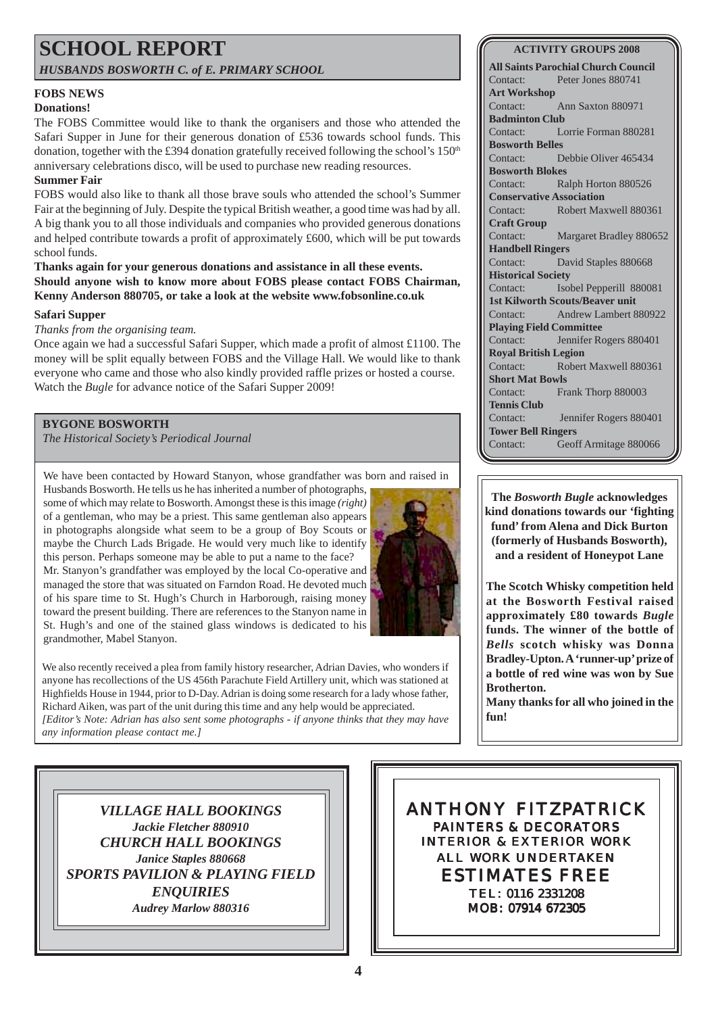### **SCHOOL REPORT** *HUSBANDS BOSWORTH C. of E. PRIMARY SCHOOL*

**FOBS NEWS**

#### **Donations!**

The FOBS Committee would like to thank the organisers and those who attended the Safari Supper in June for their generous donation of £536 towards school funds. This donation, together with the £394 donation gratefully received following the school's 150<sup>th</sup> anniversary celebrations disco, will be used to purchase new reading resources.

#### **Summer Fair**

FOBS would also like to thank all those brave souls who attended the school's Summer Fair at the beginning of July. Despite the typical British weather, a good time was had by all. A big thank you to all those individuals and companies who provided generous donations and helped contribute towards a profit of approximately £600, which will be put towards school funds.

#### **Thanks again for your generous donations and assistance in all these events. Should anyone wish to know more about FOBS please contact FOBS Chairman, Kenny Anderson 880705, or take a look at the website www.fobsonline.co.uk**

#### **Safari Supper**

#### *Thanks from the organising team.*

Once again we had a successful Safari Supper, which made a profit of almost  $\text{\pounds}1100$ . The money will be split equally between FOBS and the Village Hall. We would like to thank everyone who came and those who also kindly provided raffle prizes or hosted a course. Watch the *Bugle* for advance notice of the Safari Supper 2009!

#### **BYGONE BOSWORTH**

*The Historical Society's Periodical Journal*

We have been contacted by Howard Stanyon, whose grandfather was born and raised in

Husbands Bosworth. He tells us he has inherited a number of photographs, some of which may relate to Bosworth. Amongst these is this image *(right)* of a gentleman, who may be a priest. This same gentleman also appears in photographs alongside what seem to be a group of Boy Scouts or maybe the Church Lads Brigade. He would very much like to identify this person. Perhaps someone may be able to put a name to the face?

Mr. Stanyon's grandfather was employed by the local Co-operative and managed the store that was situated on Farndon Road. He devoted much of his spare time to St. Hugh's Church in Harborough, raising money toward the present building. There are references to the Stanyon name in St. Hugh's and one of the stained glass windows is dedicated to his grandmother, Mabel Stanyon.





**ACTIVITY GROUPS 2008**

**All Saints Parochial Church Council** Contact: Peter Jones 880741 **Art Workshop** Contact: Ann Saxton 880971 **Badminton Club** Contact: Lorrie Forman 880281 **Bosworth Belles** Contact: Debbie Oliver 465434 **Bosworth Blokes** Contact: Ralph Horton 880526 **Conservative Association** Contact: Robert Maxwell 880361 **Craft Group** Contact: Margaret Bradley 880652 **Handbell Ringers** Contact: David Staples 880668 **Historical Society** Contact: Isobel Pepperill 880081 **1st Kilworth Scouts/Beaver unit** Contact: Andrew Lambert 880922 **Playing Field Committee** Contact: Jennifer Rogers 880401 **Royal British Legion** Contact: Robert Maxwell 880361 **Short Mat Bowls** Contact: Frank Thorp 880003 **Tennis Club** Contact: Jennifer Rogers 880401 **Tower Bell Ringers** Contact: Geoff Armitage 880066

**The** *Bosworth Bugle* **acknowledges kind donations towards our 'fighting fund' from Alena and Dick Burton (formerly of Husbands Bosworth), and a resident of Honeypot Lane**

**The Scotch Whisky competition held at the Bosworth Festival raised approximately £80 towards** *Bugle* **funds. The winner of the bottle of** *Bells* **scotch whisky was Donna Bradley-Upton. A 'runner-up' prize of a bottle of red wine was won by Sue Brotherton.**

**Many thanks for all who joined in the fun!**

*VILLAGE HALL BOOKINGS Jackie Fletcher 880910 CHURCH HALL BOOKINGS Janice Staples 880668 SPORTS PAVILION & PLAYING FIELD ENQUIRIES Audrey Marlow 880316*

ANTHONY FITZPATRICK PAINTERS & DECORATORS INTERIOR & EXTERIOR WORK ALL WORK UNDERTAKEN ESTIMATES FREE TEL: 0116 2331208 MOB: 07914 672305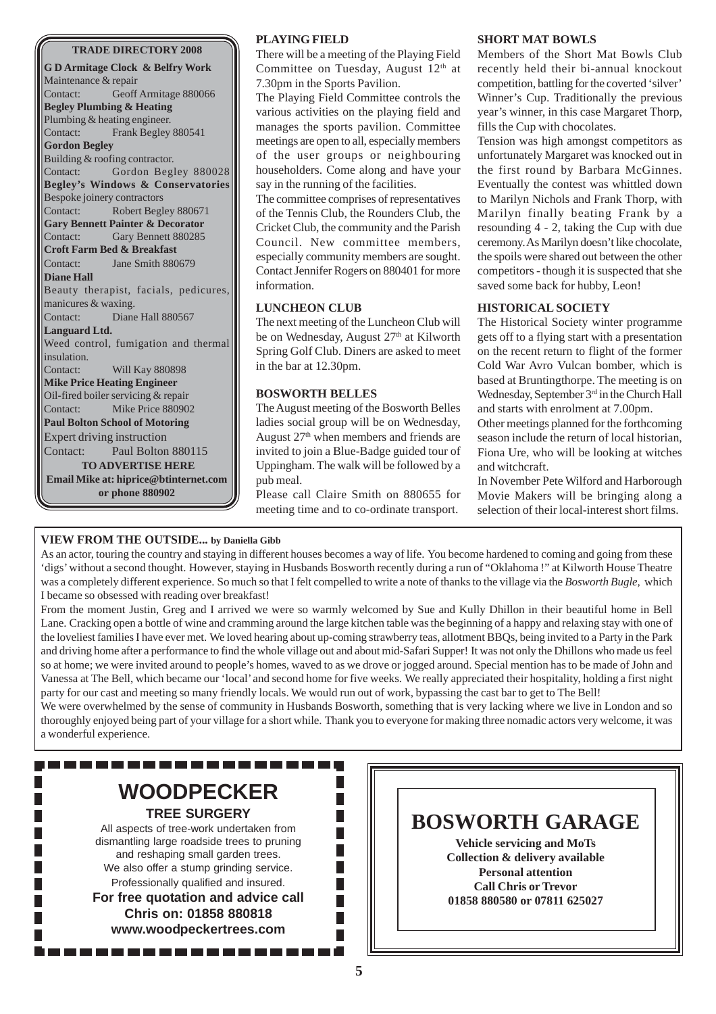#### **TRADE DIRECTORY 2008**

**G D Armitage Clock & Belfry Work** Maintenance & repair Contact: Geoff Armitage 880066 **Begley Plumbing & Heating** Plumbing & heating engineer. Contact: Frank Begley 880541 **Gordon Begley** Building & roofing contractor. Contact: Gordon Begley 880028 **Begley's Windows & Conservatories** Bespoke joinery contractors Contact: Robert Begley 880671 **Gary Bennett Painter & Decorator** Contact: Gary Bennett 880285 **Croft Farm Bed & Breakfast** Contact: Jane Smith 880679 **Diane Hall** Beauty therapist, facials, pedicures, manicures & waxing. Contact: Diane Hall 880567 **Languard Ltd.** Weed control, fumigation and thermal insulation. Contact: Will Kay 880898 **Mike Price Heating Engineer** Oil-fired boiler servicing & repair Contact: Mike Price 880902 **Paul Bolton School of Motoring** Expert driving instruction Contact: Paul Bolton 880115 **TO ADVERTISE HERE Email Mike at: hiprice@btinternet.com or phone 880902**

#### **PLAYING FIELD**

There will be a meeting of the Playing Field Committee on Tuesday, August 12<sup>th</sup> at 7.30pm in the Sports Pavilion.

The Playing Field Committee controls the various activities on the playing field and manages the sports pavilion. Committee meetings are open to all, especially members of the user groups or neighbouring householders. Come along and have your say in the running of the facilities.

The committee comprises of representatives of the Tennis Club, the Rounders Club, the Cricket Club, the community and the Parish Council. New committee members, especially community members are sought. Contact Jennifer Rogers on 880401 for more information.

#### **LUNCHEON CLUB**

The next meeting of the Luncheon Club will be on Wednesday, August 27<sup>th</sup> at Kilworth Spring Golf Club. Diners are asked to meet in the bar at 12.30pm.

#### **BOSWORTH BELLES**

The August meeting of the Bosworth Belles ladies social group will be on Wednesday, August 27th when members and friends are invited to join a Blue-Badge guided tour of Uppingham. The walk will be followed by a pub meal.

Please call Claire Smith on 880655 for meeting time and to co-ordinate transport.

#### **SHORT MAT BOWLS**

Members of the Short Mat Bowls Club recently held their bi-annual knockout competition, battling for the coverted 'silver' Winner's Cup. Traditionally the previous year's winner, in this case Margaret Thorp, fills the Cup with chocolates.

Tension was high amongst competitors as unfortunately Margaret was knocked out in the first round by Barbara McGinnes. Eventually the contest was whittled down to Marilyn Nichols and Frank Thorp, with Marilyn finally beating Frank by a resounding 4 - 2, taking the Cup with due ceremony. As Marilyn doesn't like chocolate, the spoils were shared out between the other competitors - though it is suspected that she saved some back for hubby, Leon!

#### **HISTORICAL SOCIETY**

The Historical Society winter programme gets off to a flying start with a presentation on the recent return to flight of the former Cold War Avro Vulcan bomber, which is based at Bruntingthorpe. The meeting is on Wednesday, September 3<sup>rd</sup> in the Church Hall and starts with enrolment at 7.00pm.

Other meetings planned for the forthcoming season include the return of local historian, Fiona Ure, who will be looking at witches and witchcraft.

In November Pete Wilford and Harborough Movie Makers will be bringing along a selection of their local-interest short films.

#### **VIEW FROM THE OUTSIDE... by Daniella Gibb**

As an actor, touring the country and staying in different houses becomes a way of life. You become hardened to coming and going from these 'digs' without a second thought. However, staying in Husbands Bosworth recently during a run of "Oklahoma !" at Kilworth House Theatre was a completely different experience. So much so that I felt compelled to write a note of thanks to the village via the *Bosworth Bugle,* which I became so obsessed with reading over breakfast!

From the moment Justin, Greg and I arrived we were so warmly welcomed by Sue and Kully Dhillon in their beautiful home in Bell Lane. Cracking open a bottle of wine and cramming around the large kitchen table was the beginning of a happy and relaxing stay with one of the loveliest families I have ever met. We loved hearing about up-coming strawberry teas, allotment BBQs, being invited to a Party in the Park and driving home after a performance to find the whole village out and about mid-Safari Supper! It was not only the Dhillons who made us feel so at home; we were invited around to people's homes, waved to as we drove or jogged around. Special mention has to be made of John and Vanessa at The Bell, which became our 'local' and second home for five weeks. We really appreciated their hospitality, holding a first night party for our cast and meeting so many friendly locals. We would run out of work, bypassing the cast bar to get to The Bell!

We were overwhelmed by the sense of community in Husbands Bosworth, something that is very lacking where we live in London and so thoroughly enjoyed being part of your village for a short while. Thank you to everyone for making three nomadic actors very welcome, it was a wonderful experience.



# **BOSWORTH GARAGE**

**Vehicle servicing and MoTs Collection & delivery available Personal attention Call Chris or Trevor 01858 880580 or 07811 625027**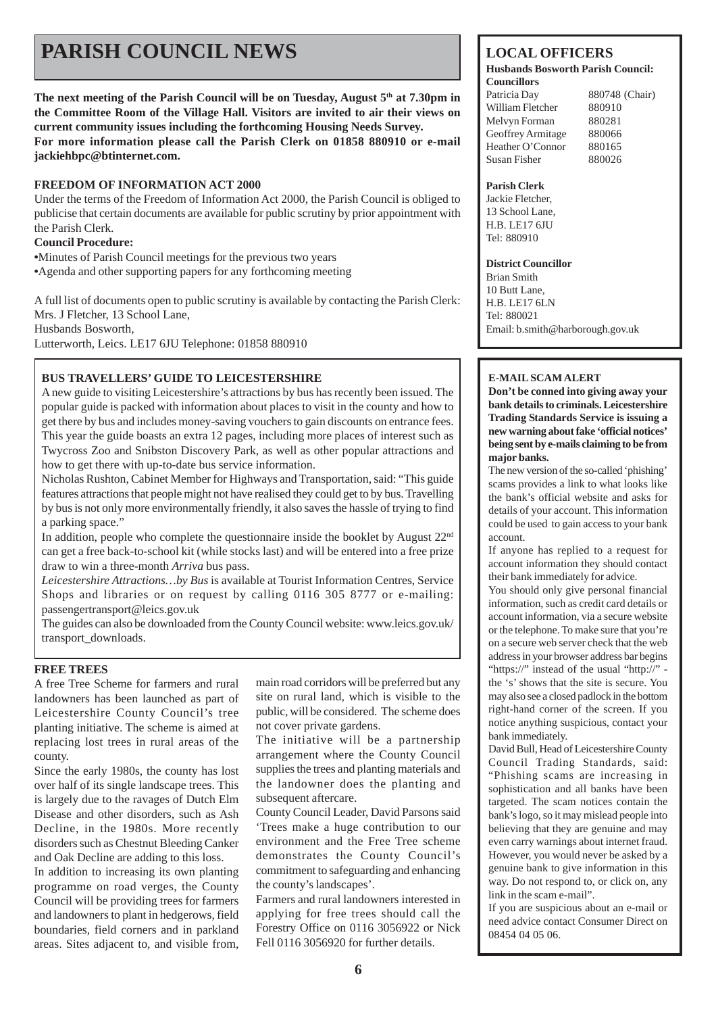# **PARISH COUNCIL NEWS** LOCAL OFFICERS

The next meeting of the Parish Council will be on Tuesday, August 5<sup>th</sup> at 7.30pm in **the Committee Room of the Village Hall. Visitors are invited to air their views on current community issues including the forthcoming Housing Needs Survey. For more information please call the Parish Clerk on 01858 880910 or e-mail jackiehbpc@btinternet.com.**

#### **FREEDOM OF INFORMATION ACT 2000**

Under the terms of the Freedom of Information Act 2000, the Parish Council is obliged to publicise that certain documents are available for public scrutiny by prior appointment with the Parish Clerk.

#### **Council Procedure:**

**•**Minutes of Parish Council meetings for the previous two years

**•**Agenda and other supporting papers for any forthcoming meeting

A full list of documents open to public scrutiny is available by contacting the Parish Clerk: Mrs. J Fletcher, 13 School Lane, Husbands Bosworth,

Lutterworth, Leics. LE17 6JU Telephone: 01858 880910

#### **BUS TRAVELLERS' GUIDE TO LEICESTERSHIRE**

A new guide to visiting Leicestershire's attractions by bus has recently been issued. The popular guide is packed with information about places to visit in the county and how to get there by bus and includes money-saving vouchers to gain discounts on entrance fees. This year the guide boasts an extra 12 pages, including more places of interest such as Twycross Zoo and Snibston Discovery Park, as well as other popular attractions and how to get there with up-to-date bus service information.

Nicholas Rushton, Cabinet Member for Highways and Transportation, said: "This guide features attractions that people might not have realised they could get to by bus. Travelling by bus is not only more environmentally friendly, it also saves the hassle of trying to find a parking space."

In addition, people who complete the questionnaire inside the booklet by August  $22<sup>nd</sup>$ can get a free back-to-school kit (while stocks last) and will be entered into a free prize draw to win a three-month *Arriva* bus pass.

*Leicestershire Attractions…by Bus* is available at Tourist Information Centres, Service Shops and libraries or on request by calling 0116 305 8777 or e-mailing: passengertransport@leics.gov.uk

The guides can also be downloaded from the County Council website: www.leics.gov.uk/ transport\_downloads.

#### **FREE TREES**

A free Tree Scheme for farmers and rural landowners has been launched as part of Leicestershire County Council's tree planting initiative. The scheme is aimed at replacing lost trees in rural areas of the county.

Since the early 1980s, the county has lost over half of its single landscape trees. This is largely due to the ravages of Dutch Elm Disease and other disorders, such as Ash Decline, in the 1980s. More recently disorders such as Chestnut Bleeding Canker and Oak Decline are adding to this loss.

In addition to increasing its own planting programme on road verges, the County Council will be providing trees for farmers and landowners to plant in hedgerows, field boundaries, field corners and in parkland areas. Sites adjacent to, and visible from, main road corridors will be preferred but any site on rural land, which is visible to the public, will be considered. The scheme does not cover private gardens.

The initiative will be a partnership arrangement where the County Council supplies the trees and planting materials and the landowner does the planting and subsequent aftercare.

County Council Leader, David Parsons said 'Trees make a huge contribution to our environment and the Free Tree scheme demonstrates the County Council's commitment to safeguarding and enhancing the county's landscapes'.

Farmers and rural landowners interested in applying for free trees should call the Forestry Office on 0116 3056922 or Nick Fell 0116 3056920 for further details.

#### **Husbands Bosworth Parish Council: Councillors**

Patricia Day 880748 (Chair) William Fletcher 880910 Melvyn Forman 880281 Geoffrey Armitage 880066 Heather O'Connor 880165 Susan Fisher 880026

#### **Parish Clerk**

Jackie Fletcher, 13 School Lane, H.B. LE17 6JU Tel: 880910

#### **District Councillor**

Brian Smith 10 Butt Lane, H.B. LE17 6LN Tel: 880021 Email: b.smith@harborough.gov.uk

#### **E-MAIL SCAM ALERT**

**Don't be conned into giving away your bank details to criminals. Leicestershire Trading Standards Service is issuing a new warning about fake 'official notices' being sent by e-mails claiming to be from major banks.**

The new version of the so-called 'phishing' scams provides a link to what looks like the bank's official website and asks for details of your account. This information could be used to gain access to your bank account.

If anyone has replied to a request for account information they should contact their bank immediately for advice.

You should only give personal financial information, such as credit card details or account information, via a secure website or the telephone. To make sure that you're on a secure web server check that the web address in your browser address bar begins "https://" instead of the usual "http://" the 's' shows that the site is secure. You may also see a closed padlock in the bottom right-hand corner of the screen. If you notice anything suspicious, contact your bank immediately.

David Bull, Head of Leicestershire County Council Trading Standards, said: "Phishing scams are increasing in sophistication and all banks have been targeted. The scam notices contain the bank's logo, so it may mislead people into believing that they are genuine and may even carry warnings about internet fraud. However, you would never be asked by a genuine bank to give information in this way. Do not respond to, or click on, any link in the scam e-mail".

If you are suspicious about an e-mail or need advice contact Consumer Direct on 08454 04 05 06.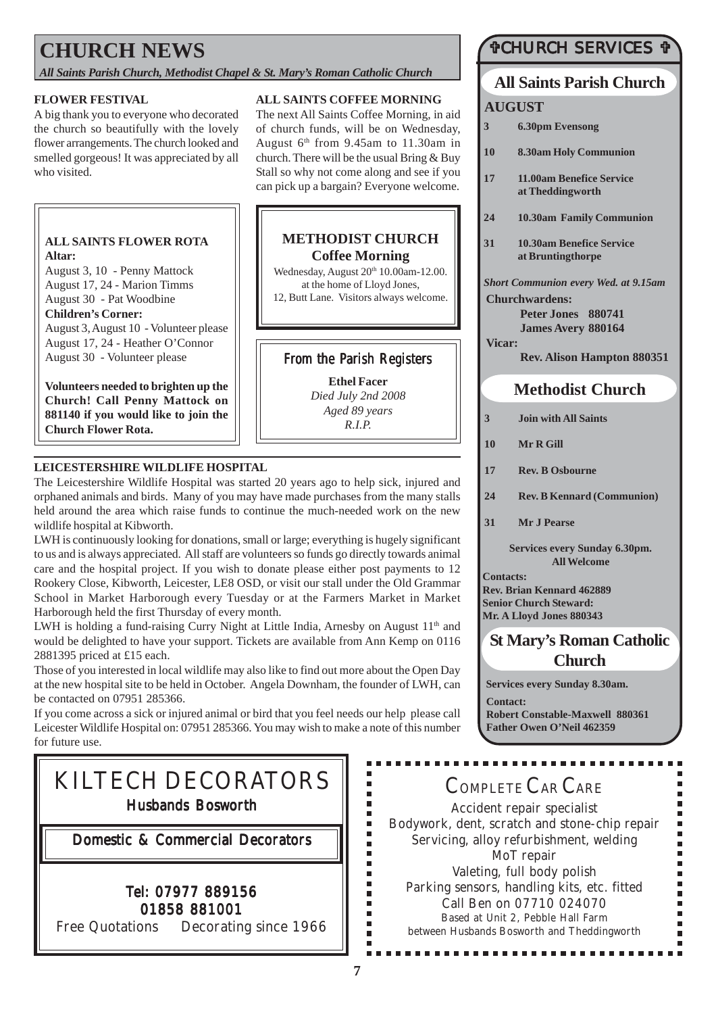# **CHURCH NEWS**

*All Saints Parish Church, Methodist Chapel & St. Mary's Roman Catholic Church*

#### **FLOWER FESTIVAL**

A big thank you to everyone who decorated the church so beautifully with the lovely flower arrangements. The church looked and smelled gorgeous! It was appreciated by all who visited.

#### **ALL SAINTS FLOWER ROTA Altar:**

August 3, 10 - Penny Mattock August 17, 24 - Marion Timms August 30 - Pat Woodbine

**Children's Corner:** August 3, August 10 - Volunteer please August 17, 24 - Heather O'Connor August 30 - Volunteer please

**Volunteers needed to brighten up the Church! Call Penny Mattock on 881140 if you would like to join the Church Flower Rota.**

#### **ALL SAINTS COFFEE MORNING**

The next All Saints Coffee Morning, in aid of church funds, will be on Wednesday, August 6th from 9.45am to 11.30am in church. There will be the usual Bring & Buy Stall so why not come along and see if you can pick up a bargain? Everyone welcome.

#### **METHODIST CHURCH Coffee Morning**

Wednesday, August  $20<sup>th</sup> 10.00$ am-12.00. at the home of Lloyd Jones, 12, Butt Lane. Visitors always welcome.

### From the Parish Registers

**Ethel Facer** *Died July 2nd 2008 Aged 89 years R.I.P.*

#### **LEICESTERSHIRE WILDLIFE HOSPITAL**

The Leicestershire Wildlife Hospital was started 20 years ago to help sick, injured and orphaned animals and birds. Many of you may have made purchases from the many stalls held around the area which raise funds to continue the much-needed work on the new wildlife hospital at Kibworth.

LWH is continuously looking for donations, small or large; everything is hugely significant to us and is always appreciated. All staff are volunteers so funds go directly towards animal care and the hospital project. If you wish to donate please either post payments to 12 Rookery Close, Kibworth, Leicester, LE8 OSD, or visit our stall under the Old Grammar School in Market Harborough every Tuesday or at the Farmers Market in Market Harborough held the first Thursday of every month.

LWH is holding a fund-raising Curry Night at Little India, Arnesby on August  $11<sup>th</sup>$  and would be delighted to have your support. Tickets are available from Ann Kemp on 0116 2881395 priced at £15 each.

Those of you interested in local wildlife may also like to find out more about the Open Day at the new hospital site to be held in October. Angela Downham, the founder of LWH, can be contacted on 07951 285366.

If you come across a sick or injured animal or bird that you feel needs our help please call Leicester Wildlife Hospital on: 07951 285366. You may wish to make a note of this number for future use.

# KILTECH DECORATORS Husbands Bosworth

Domestic & Commercial Decorators

### Tel: 07977 889156 01858 881001

Free Quotations Decorating since 1966

### "CHURCH SERVICES "

# **All Saints Parish Church**

### **AUGUST**

- **3 6.30pm Evensong**
- **10 8.30am Holy Communion**
- **17 11.00am Benefice Service at Theddingworth**
- **24 10.30am Family Communion**
- **31 10.30am Benefice Service at Bruntingthorpe**

*Short Communion every Wed. at 9.15am* **Churchwardens:**

**Peter Jones 880741 James Avery 880164 Vicar:**

**Rev. Alison Hampton 880351**

### **Methodist Church**

- **3 Join with All Saints**
- **10 Mr R Gill**
- **17 Rev. B Osbourne**
- **24 Rev. B Kennard (Communion)**
- **31 Mr J Pearse**

**Services every Sunday 6.30pm. All Welcome**

**Contacts: Rev. Brian Kennard 462889 Senior Church Steward: Mr. A Lloyd Jones 880343**

### **St Mary's Roman Catholic Church**

**Services every Sunday 8.30am.**

**Contact: Robert Constable-Maxwell 880361 Father Owen O'Neil 462359**

# COMPLETE CAR CARE

Accident repair specialist Bodywork, dent, scratch and stone-chip repair Servicing, alloy refurbishment, welding MoT repair Valeting, full body polish Parking sensors, handling kits, etc. fitted Call Ben on 07710 024070 Based at Unit 2, Pebble Hall Farm between Husbands Bosworth and Theddingworth

................

Ė  $\blacksquare$ I. I. É  $\blacksquare$ 

ī  $\blacksquare$ Ė